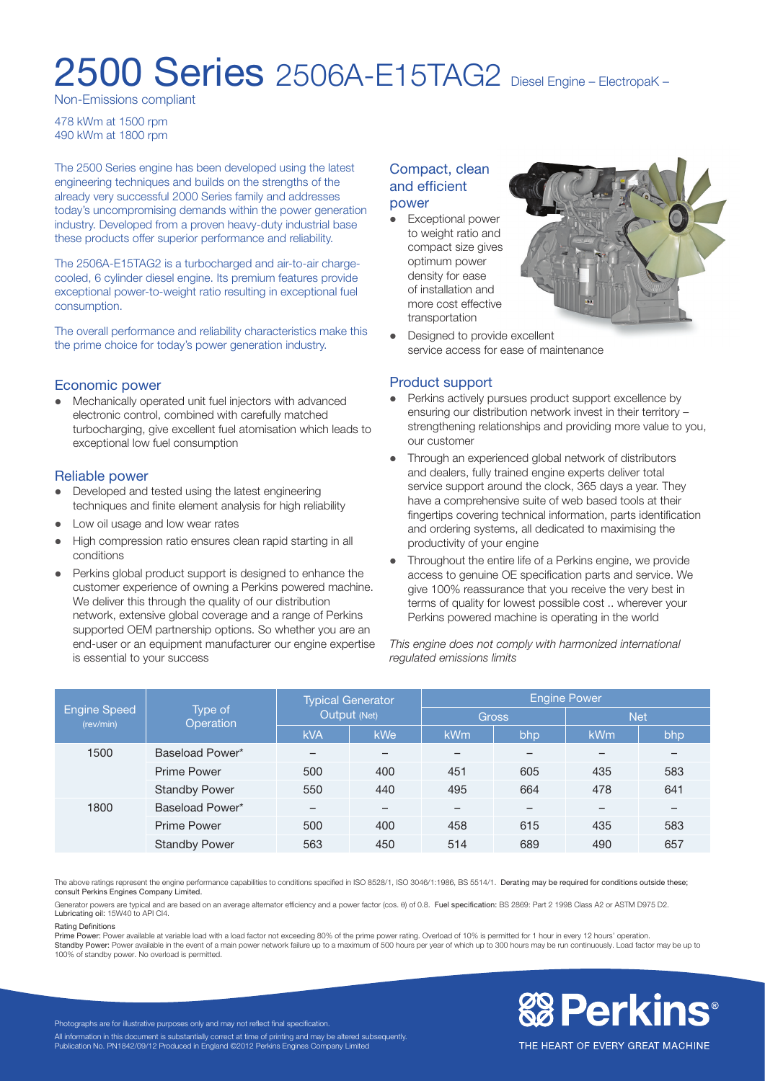# 2500 Series 2506A-E15TAG2 Diesel Engine – ElectropaK –

Non-Emissions compliant

478 kWm at 1500 rpm 490 kWm at 1800 rpm

The 2500 Series engine has been developed using the latest engineering techniques and builds on the strengths of the already very successful 2000 Series family and addresses today's uncompromising demands within the power generation industry. Developed from a proven heavy-duty industrial base these products offer superior performance and reliability.

The 2506A-E15TAG2 is a turbocharged and air-to-air chargecooled, 6 cylinder diesel engine. Its premium features provide exceptional power-to-weight ratio resulting in exceptional fuel consumption.

The overall performance and reliability characteristics make this the prime choice for today's power generation industry.

### Economic power

Mechanically operated unit fuel injectors with advanced electronic control, combined with carefully matched turbocharging, give excellent fuel atomisation which leads to exceptional low fuel consumption

#### Reliable power

- Developed and tested using the latest engineering techniques and finite element analysis for high reliability
- Low oil usage and low wear rates
- High compression ratio ensures clean rapid starting in all conditions
- Perkins global product support is designed to enhance the customer experience of owning a Perkins powered machine. We deliver this through the quality of our distribution network, extensive global coverage and a range of Perkins supported OEM partnership options. So whether you are an end-user or an equipment manufacturer our engine expertise is essential to your success

### Compact, clean and efficient power

• Exceptional power to weight ratio and compact size gives optimum power density for ease of installation and more cost effective transportation



• Designed to provide excellent service access for ease of maintenance

### Product support

- Perkins actively pursues product support excellence by ensuring our distribution network invest in their territory – strengthening relationships and providing more value to you, our customer
- Through an experienced global network of distributors and dealers, fully trained engine experts deliver total service support around the clock, 365 days a year. They have a comprehensive suite of web based tools at their fingertips covering technical information, parts identification and ordering systems, all dedicated to maximising the productivity of your engine
- Throughout the entire life of a Perkins engine, we provide access to genuine OE specification parts and service. We give 100% reassurance that you receive the very best in terms of quality for lowest possible cost .. wherever your Perkins powered machine is operating in the world

*This engine does not comply with harmonized international regulated emissions limits*

| <b>Engine Speed</b><br>(rev/min) | Type of<br><b>Operation</b> | <b>Typical Generator</b><br>Output (Net) |                          | Engine Power |                          |                          |     |
|----------------------------------|-----------------------------|------------------------------------------|--------------------------|--------------|--------------------------|--------------------------|-----|
|                                  |                             |                                          |                          | <b>Gross</b> |                          | <b>Net</b>               |     |
|                                  |                             | <b>kVA</b>                               | <b>kWe</b>               | kWm          | bhp                      | <b>kWm</b>               | bhp |
| 1500                             | Baseload Power*             | $\overline{\phantom{0}}$                 | $\overline{\phantom{0}}$ | -            | $\overline{\phantom{0}}$ | $\qquad \qquad$          |     |
|                                  | <b>Prime Power</b>          | 500                                      | 400                      | 451          | 605                      | 435                      | 583 |
|                                  | <b>Standby Power</b>        | 550                                      | 440                      | 495          | 664                      | 478                      | 641 |
| 1800                             | Baseload Power*             | -                                        |                          |              |                          | $\overline{\phantom{0}}$ |     |
|                                  | <b>Prime Power</b>          | 500                                      | 400                      | 458          | 615                      | 435                      | 583 |
|                                  | <b>Standby Power</b>        | 563                                      | 450                      | 514          | 689                      | 490                      | 657 |

The above ratings represent the engine performance capabilities to conditions specified in ISO 8528/1, ISO 3046/1:1986, BS 5514/1. Derating may be required for conditions outside these; consult Perkins Engines Company Limited.

Generator powers are typical and are based on an average alternator efficiency and a power factor (cos. θ) of 0.8. Fuel specification: BS 2869: Part 2 1998 Class A2 or ASTM D975 D2. Lubricating oil: 15W40 to API CI4.

#### Rating Definitions

Prime Power: Power available at variable load with a load factor not exceeding 80% of the prime power rating. Overload of 10% is permitted for 1 hour in every 12 hours' operation.

Standby Power: Power available in the event of a main power network failure up to a maximum of 500 hours per year of which up to 300 hours may be run continuously. Load factor may be up to 100% of standby power. No overload is permitted.



THE HEART OF EVERY GREAT MACHINE

Photographs are for illustrative purposes only and may not reflect final specification. All information in this document is substantially correct at time of printing and may be altered subsequently. Publication No. PN1842/09/12 Produced in England ©2012 Perkins Engines Company Limited